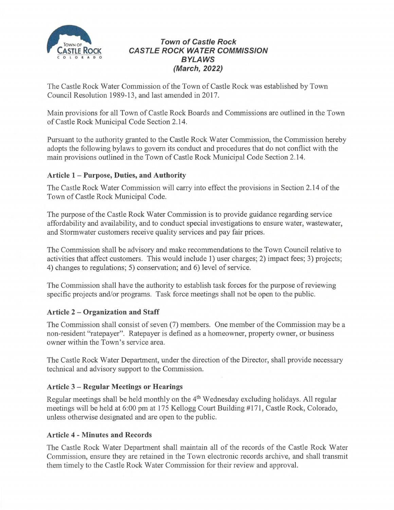

# **Town of Castle Rock CASTLE ROCK WATER COMMISSION** BYLAWS (March, 2022)

The Castle Rock Water Commission of the Town of Castle Rock was established by Town Council Resolution 1989-13, and last amended in 2017.

Main provisions for all Town of Castle Rock Boards and Commissions are outlined in the Town of Castle Rock Municipal Code Section 2.14.

Pursuant to the authority granted to the Castle Rock Water Commission, the Commission hereby adopts the following bylaws to govern its conduct and procedures that do not conflict with the main provisions outlined in the Town of Castle Rock Municipal Code Section 2.14.

# Article 1 —Purpose, Duties, and Authority

The Castle Rock Water Commission will carry into effect the provisions in Section 2.14 of the Town of Castle Rock Municipal Code.

The purpose of the Castle Rock Water Commission is to provide guidance regarding service affordability and availability, and to conduct special investigations to ensure water, wastewater, and Stormwater customers receive quality services and pay fair prices.

The Commission shall be advisory and make recommendations to the Town Council relative to activities that affect customers. This would include 1) user charges; 2) impact fees; 3) projects; 4) changes to regulations; 5) conservation; and 6) level of service.

The Commission shall have the authority to establish task forces for the purpose of reviewing specific projects and/or programs. Task force meetings shall not be open to the public.

# Article 2 —Organization and Staff

The Commission shall consist of seven (7) members. One member of the Commission maybe a non-resident "ratepayer". Ratepayer is defined as a homeowner, property owner, or business owner within the Town's service area.

The Castle Rock Water Department, under the direction of the Director, shall provide necessary technical and advisory support to the Commission.

#### Article 3 —Regular Meetings or Hearings

Regular meetings shall be held monthly on the  $4<sup>th</sup>$  Wednesday excluding holidays. All regular meetings will be held at 6:00 pm at 175 Kellogg Court Building #171, Castle Rock, Colorado, unless otherwise designated and are open to the public.

#### Article 4 - Minutes and Records

The Castle Rock Water Department shall maintain all of the records of the Castle Rock Water Commission, ensure they are retained in the Town electronic records archive, and shall transmit them timely to the Castle Rock Water Commission for their review and approval.